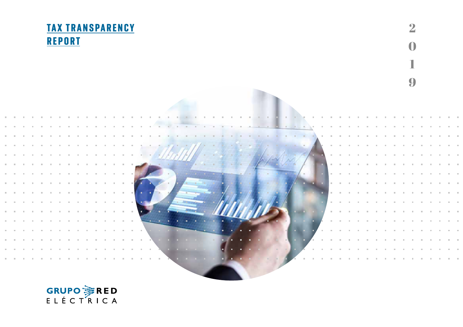#### TAX TRANSPARENCY **REPORT**



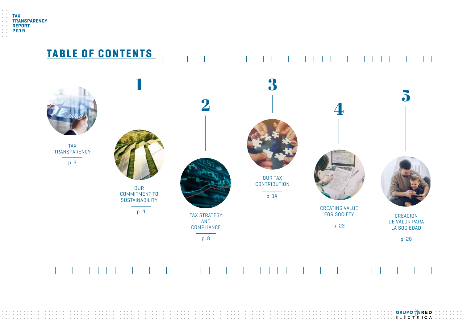

#### TABLE OF CONTENTS



**GRUPO 茅RED**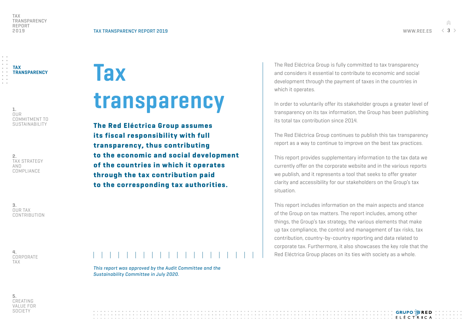**GRUPO 溶RED LEIFLECTRICA** 

TAX **TRANSPARENCY** 

1. OUR COMMITMENT TO SUSTAINABILITY

2. TAX STRATEGY AND COMPLIANCE

3. OUR TAX CONTRIBUTION **Tax** 

## transparency

The Red Eléctrica Group assumes its fiscal responsibility with full transparency, thus contributing to the economic and social development of the countries in which it operates through the tax contribution paid to the corresponding tax authorities.

The Red Eléctrica Group is fully committed to tax transparency and considers it essential to contribute to economic and social development through the payment of taxes in the countries in which it operates.

In order to voluntarily offer its stakeholder groups a greater level of transparency on its tax information, the Group has been publishing its total tax contribution since 2014.

The Red Eléctrica Group continues to publish this tax transparency report as a way to continue to improve on the best tax practices.

This report provides supplementary information to the tax data we currently offer on the corporate website and in the various reports we publish, and it represents a tool that seeks to offer greater clarity and accessibility for our stakeholders on the Group's tax situation.

This report includes information on the main aspects and stance of the Group on tax matters. The report includes, among other things, the Group's tax strategy, the various elements that make up tax compliance, the control and management of tax risks, tax contribution, country-by-country reporting and data related to corporate tax. Furthermore, it also showcases the key role that the Red Eléctrica Group places on its ties with society as a whole.

4. CORPORATE TAX



*Sustainability Committee in July 2020.*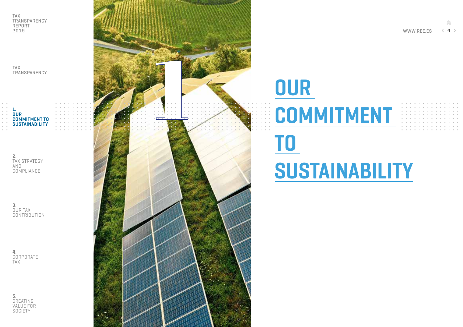TAX TRANSPARENCY

1. OUR COMMITMENT TO **SUSTAINABILITY** 

> 2. TAX STRATEGY AND COMPLIANCE

3. OUR TAX **CONTRIBUTION** 

4. CORPORATE TAX

5. CREATING VALUE FOR **SOCIETY** 



## **OUR** COMMITMENT TO SUSTAINABILITY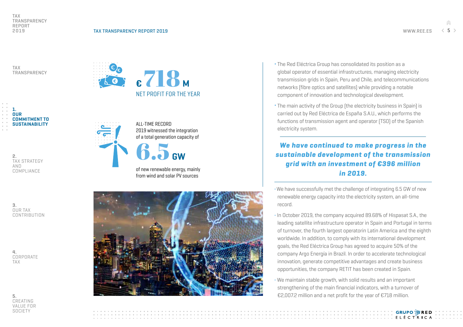TAX **TRANSPARENCY** 



2. TAX STRATEGY AND COMPLIANCE

3. OUR TAX **CONTRIBUTION** 

4. CORPORATE TAX

5. CREATING VALUE FOR **SOCIETY** 



ALL-TIME RECORD 2019 witnessed the integration of a total generation capacity of

### 6.5<sub>GW</sub>

of new renewable energy, mainly from wind and solar PV sources



- ¬ The Red Eléctrica Group has consolidated its position as a global operator of essential infrastructures, managing electricity transmission grids in Spain, Peru and Chile, and telecommunications networks (fibre optics and satellites) while providing a notable component of innovation and technological development.
- ¬ The main activity of the Group (the electricity business in Spain) is carried out by Red Eléctrica de España S.A.U., which performs the functions of transmission agent and operator (TSO) of the Spanish electricity system.

#### *We have continued to make progress in the sustainable development of the transmission grid with an investment of €396 million in 2019.*

¬We have successfully met the challenge of integrating 6.5 GW of new renewable energy capacity into the electricity system, an all-time record.

- ¬ In October 2019, the company acquired 89.68% of Hispasat S.A., the leading satellite infrastructure operator in Spain and Portugal in terms of turnover, the fourth largest operatorin Latin America and the eighth worldwide. In addition, to comply with its international development goals, the Red Eléctrica Group has agreed to acquire 50% of the company Argo Energía in Brazil. In order to accelerate technological innovation, generate competitive advantages and create business opportunities, the company RETIT has been created in Spain.
- ¬ We maintain stable growth, with solid results and an important strengthening of the main financial indicators, with a turnover of €2,007.2 million and a net profit for the year of €718 million.

**GRUPO 溶RED ELÉCTRICA**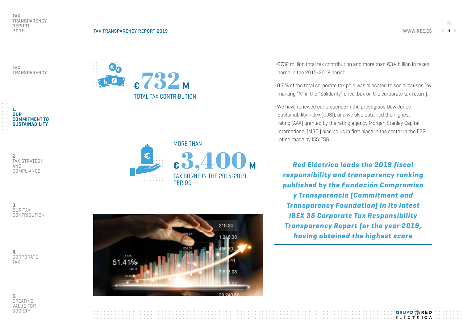**GRUPO 溶RED FIFCTRICA** 

TAX TRANSPARENCY



1. OUR COMMITMENT TO **SUSTAINABILITY** 

| 2.                  |
|---------------------|
| <b>TAX STRATEGY</b> |
| AND                 |
| COMPLIANCE          |



3. OUR TAX CONTRIBUTION

4. CORPORATE TAX



- ¬ €732 million total tax contribution and more than €3.4 billion in taxes borne in the 2015-2019 period.
- ¬ 0.7 % of the total corporate tax paid was allocated to social causes (by marking "X" in the "Solidarity" checkbox on the corporate tax return).
- ¬ We have renewed our presence in the prestigious Dow Jones Sustainability Index (DJSI), and we also obtained the highest rating (AAA) granted by the rating agency Morgan Stanley Capital International (MSCI) placing us in first place in the sector in the ESG rating made by ISS ESG.

*Red Eléctrica leads the 2019 fiscal responsibility and transparency ranking published by the Fundación Compromiso y Transparencia (Commitment and Transparency Foundation) in its latest IBEX 35 Corporate Tax Responsibility Transparency Report for the year 2019, having obtained the highest score*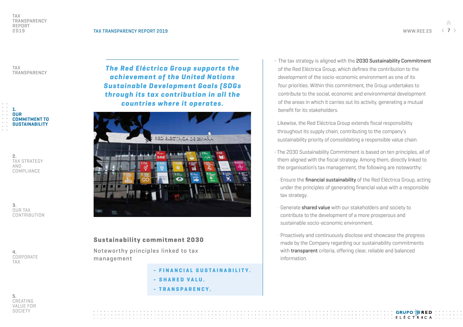1. **OUR** COMMITMENT TO SUSTAINABILITY

> 2. TAX STRATEGY AND COMPLIANCE

3. OUR TAX **CONTRIBUTION** 

4. CORPORATE TAX

5. CREATING VALUE FOR **SOCIETY** 

*The Red Eléctrica Group supports the achievement of the United Nations Sustainable Development Goals (SDGs through its tax contribution in all the countries where it operates.*



#### Sustainability commitment 2030

Noteworthy principles linked to tax management

- FINANCIAL SUSTAINABILITY .
- SHARED VALU.
- TRANSPARENCY.

• The tax strategy is aligned with the 2030 Sustainability Commitment of the Red Eléctrica Group, which defines the contribution to the development of the socio-economic environment as one of its four priorities. Within this commitment, the Group undertakes to contribute to the social, economic and environmental development of the areas in which it carries out its activity, generating a mutual benefit for its stakeholders*.*

Likewise, the Red Eléctrica Group extends fiscal responsibility throughout its supply chain, contributing to the company's sustainability priority of consolidating a responsible value chain.

- ¬ The 2030 Sustainability Commitment is based on ten principles, all of them aligned with the fiscal strategy. Among them, directly linked to the organisation's tax management, the following are noteworthy:
- Ensure the **financial sustainability** of the Red Eléctrica Group, acting under the principles of generating financial value with a responsible tax strategy.
- Generate **shared value** with our stakeholders and society to contribute to the development of a more prosperous and sustainable socio-economic environment.
- Proactively and continuously disclose and showcase the progress made by the Company regarding our sustainability commitments with **transparent** criteria, offering clear, reliable and balanced information.

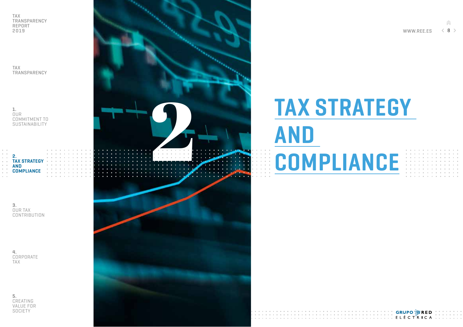TAX TRANSPARENCY

1. OUR COMMITMENT TO SUSTAINABILITY

2.

3. OUR TAX **CONTRIBUTION** 

**TAX STRATEGY** AND **COMPLIANCE** 

4. CORPORATE TAX

5. CREATING VALUE FOR **SOCIETY** 



# TAX STRATEGY AND<br>COMPLIANCE

**GRUPO 茅RED** ELÉCTRICA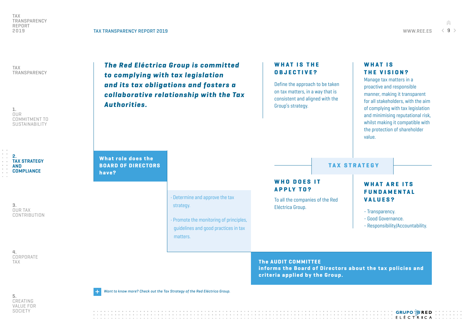What role does the BOARD OF DIRECTORS

have?

TAX TRANSPARENCY

1. OUR COMMITMENT TO SUSTAINABILITY

2. TAX STRATEGY AND **COMPLIANCE** 

3. OUR TAX CONTRIBUTION

4. CORPORATE TAX



• Determine and approve the tax

• Promote the monitoring of principles, guidelines and good practices in tax

strategy.

matters.

#### WHAT IS THE OBJECTIVE?

Define the approach to be taken on tax matters, in a way that is consistent and aligned with the Group's strategy.

#### WHAT IS THE VISION?

Manage tax matters in a proactive and responsible manner, making it transparent for all stakeholders, with the aim of complying with tax legislation and minimising reputational risk, whilst making it compatible with the protection of shareholder value.

**TAX STRATEGY** 

#### WHO DOES IT APPLY TO?

To all the companies of the Red Eléctrica Group.

#### WHAT ARE ITS **FUNDAMENTAL** VALUES?

- Transparency.
- Good Governance.
- Responsibility/Accountability.

The AUDIT COMMITTEE informs the Board of Directors about the tax policies and criteria applied by the Group.



*[Want to know more? Check out the Tax Strategy of the Red Eléctrica Group.](https://www.ree.es/sites/default/files/04_SOSTENIBILIDAD/Documentos/REE-estrategia-fiscal.pdf) +* 

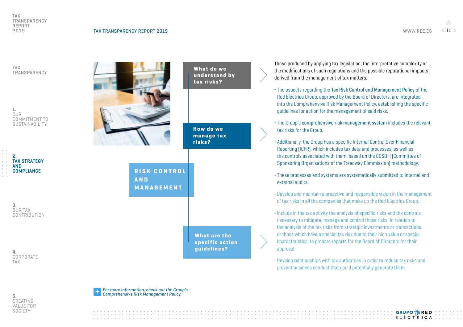TAX TRANSPARENCY

1. OUR COMMITMENT TO SUSTAINABILITY

2. TAX STRATEGY AND **COMPLIANCE** 

> 3. OUR TAX CONTRIBUTION

4. CORPORATE TAX

|                                          | What do we<br>understand by<br>tax risks?             |  |
|------------------------------------------|-------------------------------------------------------|--|
|                                          | <b>How do we</b><br>manage tax<br>risks?              |  |
| RISK CONTROL<br><b>AND</b><br>MANAGEMENT |                                                       |  |
|                                          |                                                       |  |
|                                          | <b>What are the</b><br>specific action<br>guidelines? |  |
|                                          |                                                       |  |

Those produced by applying tax legislation, the interpretative complexity or the modifications of such regulations and the possible reputational impacts derived from the management of tax matters.

- ¬ The aspects regarding the Tax Risk Control and Management Policy of the Red Eléctrica Group, approved by the Board of Directors, are integrated into the Comprehensive Risk Management Policy, establishing the specific guidelines for action for the management of said risks.
- ¬ The Group's comprehensive risk management system includes the relevant tax risks for the Group.
- ¬ Additionally, the Group has a specific Internal Control Over Financial Reporting (ICFR), which includes tax data and processes, as well as the controls associated with them, based on the COSO II (Committee of Sponsoring Organisations of the Treadway Commission) methodology.
- ¬ These processes and systems are systematically submitted to internal and external audits.
- ¬ Develop and maintain a proactive and responsible vision in the management of tax risks in all the companies that make up the Red Eléctrica Group.
- ¬ Include in the tax activity the analysis of specific risks and the controls necessary to mitigate, manage and control those risks. In relation to the analysis of the tax risks from strategic investments or transactions, or those which have a special tax risk due to their high value or special characteristics, to prepare reports for the Board of Directors for their approval.

¬ Develop relationships with tax authorities in order to reduce tax risks and prevent business conduct that could potentially generate them.



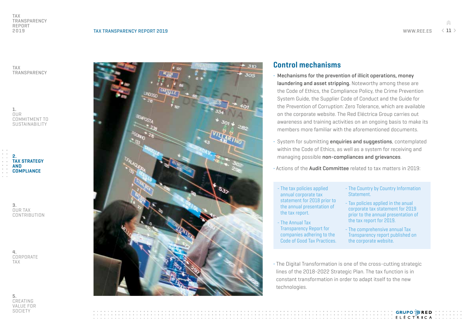TAX TRANSPARENCY

1. OUR COMMITMENT TO SUSTAINABILITY

2. TAX STRATEGY AND **COMPLIANCE** 

> 3. OUR TAX CONTRIBUTION

4. CORPORATE TAX





#### Control mechanisms

- ¬ Mechanisms for the prevention of illicit operations, money laundering and asset stripping. Noteworthy among these are the Code of Ethics, the Compliance Policy, the Crime Prevention System Guide, the Supplier Code of Conduct and the Guide for the Prevention of Corruption: Zero Tolerance, which are available on the corporate website. The Red Eléctrica Group carries out awareness and training activities on an ongoing basis to make its members more familiar with the aforementioned documents.
- System for submitting **enquiries and suggestions**, contemplated within the Code of Ethics, as well as a system for receiving and managing possible non-compliances and grievances.
- ¬ Actions of the Audit Committee related to tax matters in 2019:
	- The tax policies applied annual corporate tax statement for 2018 prior to the annual presentation of the tax report.
	- The Annual Tax Transparency Report for companies adhering to the Code of Good Tax Practices.
- The Country by Country Information Statement.
- Tax policies applied in the anual corporate tax statement for 2019 prior to the annual presentation of the tax report for 2019.
- The comprehensive annual Tax Transparency report published on the corporate website.

**GRUPO 溶RED** 

**LELLETRICA** 

¬ The Digital Transformation is one of the cross-cutting strategic lines of the 2018-2022 Strategic Plan. The tax function is in constant transformation in order to adapt itself to the new technologies.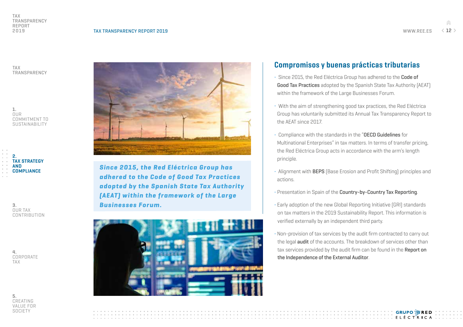GRUPO 淳RED **FIFCTRICA** 

TAX TRANSPARENCY

1. **OUR** COMMITMENT TO SUSTAINABILITY

2. TAX STRATEGY AND **COMPLIANCE** 

> 3. OUR TAX CONTRIBUTION

4. CORPORATE TAX

5. CREATING VALUE FOR **SOCIETY** 



*Since 2015, the Red Eléctrica Group has adhered to the Code of Good Tax Practices adopted by the Spanish State Tax Authority (AEAT) within the framework of the Large Businesses Forum.*



#### Compromisos y buenas prácticas tributarias

- ¬ Since 2015, the Red Eléctrica Group has adhered to the Code of Good Tax Practices adopted by the Spanish State Tax Authority (AEAT) within the framework of the Large Businesses Forum.
- ¬ With the aim of strengthening good tax practices, the Red Eléctrica Group has voluntarily submitted its Annual Tax Transparency Report to the AEAT since 2017.
- ¬ Compliance with the standards in the "OECD Guidelines for Multinational Enterprises" in tax matters. In terms of transfer pricing, the Red Eléctrica Group acts in accordance with the arm's length principle.
- ¬ Alignment with BEPS (Base Erosion and Profit Shifting) principles and actions.
- Presentation in Spain of the Country-by-Country Tax Reporting.
- ¬ Early adoption of the new Global Reporting Initiative (GRI) standards on tax matters in the 2019 Sustainability Report. This information is verified externally by an independent third party.
- ¬ Non-provision of tax services by the audit firm contracted to carry out the legal audit of the accounts. The breakdown of services other than tax services provided by the audit firm can be found in the Report on the Independence of the External Auditor.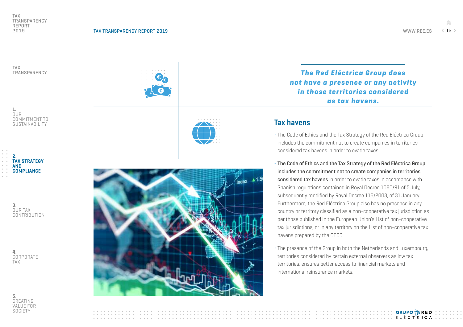$\hat{m}$ WWW.REE.ES  $\langle 13 \rangle$ 

TAX TRANSPARENCY

COMMITMENT TO SUSTAINABILITY





1. OUR

3. OUR TAX CONTRIBUTION

4. CORPORATE TAX

5. CREATING VALUE FOR **SOCIETY** 



*The Red Eléctrica Group does not have a presence or any activity in those territories considered as tax havens.*

#### Tax havens

- ¬ The Code of Ethics and the Tax Strategy of the Red Eléctrica Group includes the commitment not to create companies in territories considered tax havens in order to evade taxes.
- ¬ The Code of Ethics and the Tax Strategy of the Red Eléctrica Group includes the commitment not to create companies in territories considered tax havens in order to evade taxes in accordance with Spanish regulations contained in Royal Decree 1080/91 of 5 July, subsequently modified by Royal Decree 116/2003, of 31 January. Furthermore, the Red Eléctrica Group also has no presence in any country or territory classified as a non-cooperative tax jurisdiction as per those published in the European Union's List of non-cooperative tax jurisdictions, or in any territory on the List of non-cooperative tax havens prepared by the OECD.
- ¬ The presence of the Group in both the Netherlands and Luxembourg, territories considered by certain external observers as low tax territories, ensures better access to financial markets and international reinsurance markets.

**CONTRACTORIAL CONTRACTORIES** 

**GRUPO 溶RED**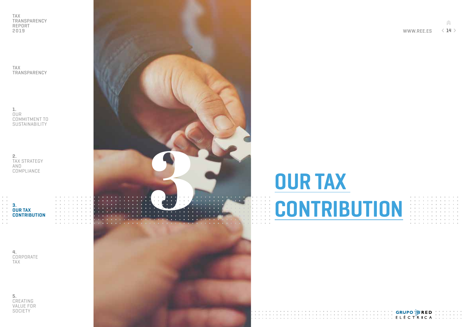TAX TRANSPARENCY

1. OUR COMMITMENT TO SUSTAINABILITY

2. TAX STRATEGY AND **COMPLIANCE** 



4. CORPORATE TAX

5. CREATING VALUE FOR **SOCIETY** 



# **OUR TAX<br>CONTRIBUTION**

SALL STATE STATE STATE STATE STATE STATE A LITTLE STATE A LITTLE STATE A LITTLE STATE A LITTLE STATE A LITTLE

Â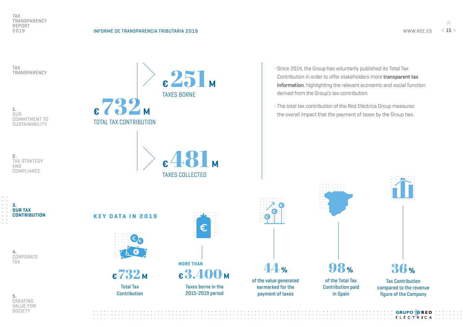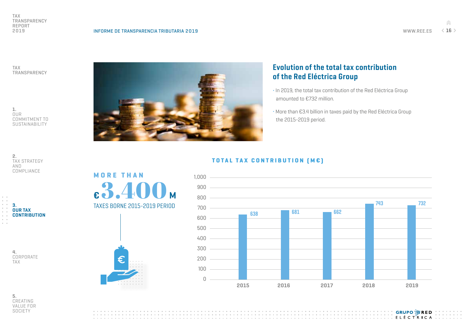**GRUPO 溶RED** 

TAX TRANSPARENCY

1. OUR COMMITMENT TO SUSTAINABILITY





4. CORPORATE TAX



#### Evolution of the total tax contribution of the Red Eléctrica Group

- ¬ In 2019, the total tax contribution of the Red Eléctrica Group amounted to €732 million.
- ¬ More than €3.4 billion in taxes paid by the Red Eléctrica Group the 2015-2019 period.

COMPLIANCE

MORE THAN

**<sub>M</sub>** 

TAXES BORNE 2015-2019 PERIOD



#### TOTAL TAX CONTRIBUTION [ME]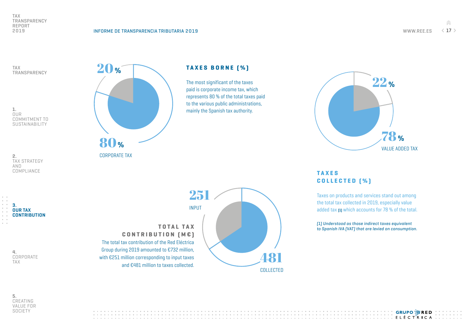TAX TRANSPARENCY

1. OUR COMMITMENT TO **SUSTAINABILITY** 

2. TAX STRATEGY AND COMPLIANCE

3. OUR TAX **CONTRIBUTION** 

> 4. CORPORATE TAX



CORPORATE TAX



TAXES BORNE (%)

The most significant of the taxes paid is corporate income tax, which represents 80 % of the total taxes paid to the various public administrations, mainly the Spanish tax authority.



#### **TAXES** COLLECTED [%]

Taxes on products and services stand out among the total tax collected in 2019, especially value added tax (1) which accounts for 78 % of the total.

*(1) Understood as those indirect taxes equivalent to Spanish IVA (VAT) that are levied on consumption.*

5. CREATING VALUE FOR **SOCIETY** 

**GRUPO 淳RED** IIII ELÉCTRICA.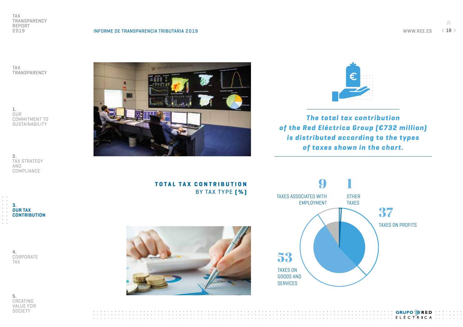**GRUPO 茅RED** 

 $\frac{1}{2}$ 

TAX TRANSPARENCY

1. OUR COMMITMENT TO **SUSTAINABILITY** 

2. TAX STRATEGY AND COMPLIANCE

3. OUR TAX **CONTRIBUTION** 





*The total tax contribution of the Red Eléctrica Group (€732 million) is distributed according to the types of taxes shown in the chart.*



TOTAL TAX CONTRIBUTION BY TAX TYPE [%]



4. CORPORATE TAX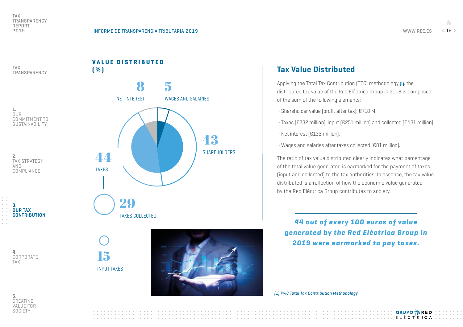$\frac{1}{\sqrt{2}}$ 

TAX TRANSPARENCY



| 2.                  |
|---------------------|
| <b>TAX STRATEGY</b> |
| AND                 |
| COMPLIANCE          |



4. CORPORATE TAX



#### Tax Value Distributed

Applying the Total Tax Contribution (TTC) methodology (1), the distributed tax value of the Red Eléctrica Group in 2018 is composed of the sum of the following elements:

- ¬ Shareholder value (profit after tax): €718 M
- ¬ Taxes (€732 million): input (€251 million) and collected (€481 million).
- ¬ Net interest (€133 million).
- ¬ Wages and salaries after taxes collected (€81 million).

The ratio of tax value distributed clearly indicates what percentage of the total value generated is earmarked for the payment of taxes (input and collected) to the tax authorities. In essence, the tax value distributed is a reflection of how the economic value generated by the Red Eléctrica Group contributes to society.

*44 out of every 100 euros of value generated by the Red Eléctrica Group in 2019 were earmarked to pay taxes.*

*(1) PwC Total Tax Contribution Methodology.*



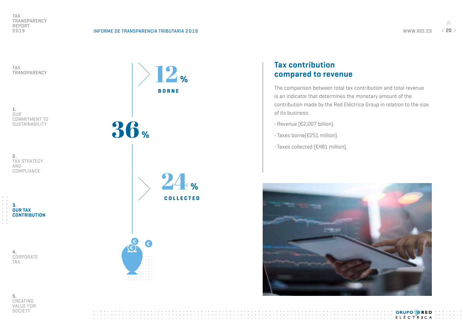**GRUPO 淳RED** 

 $\hat{m}$ 

TAX TRANSPARENCY

1. OUR COMMITMENT TO **SUSTAINABILITY** 

2. TAX STRATEGY AND COMPLIANCE

3. OUR TAX **CONTRIBUTION** 

> 4. CORPORATE TAX







#### Tax contribution compared to revenue

The comparison between total tax contribution and total revenue is an indicator that determines the monetary amount of the contribution made by the Red Eléctrica Group in relation to the size of its business:

- ¬ Revenue (€2,007 billion).
- ¬ Taxes borne(€251 million).

¬ Taxes collected (€481 million).

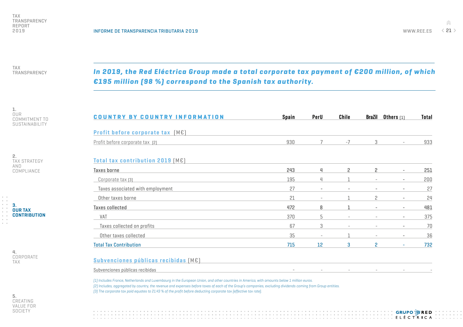$\frac{1}{\sqrt{2}}$ WWW.REE.ES  $\langle 21 \rangle$ 

TAX TRANSPARENCY

*In 2019, the Red Eléctrica Group made a total corporate tax payment of €200 million, of which €195 million (98 %) correspond to the Spanish tax authority.*

1. OUR COMMITMENT TO SUSTAINABILITY

2. TAX STRATEGY AND COMPLIANCE



4. CORPORATE TAX

5. CREATING VALUE FOR **SOCIETY** 

| <b>COUNTRY BY COUNTRY INFORMATION</b> | <b>Spain</b> | PerU                     | Chile                    | <b>BraZil</b>     | Others $[1]$                 | <b>Total</b> |
|---------------------------------------|--------------|--------------------------|--------------------------|-------------------|------------------------------|--------------|
| Profit before corporate tax [ME]      |              |                          |                          |                   |                              |              |
| Profit before corporate tax [2]       | 930          | 7                        | $-7$                     | 3                 | $\overline{\phantom{a}}$     | 933          |
| Total tax contribution 2019 [ME]      |              |                          |                          |                   |                              |              |
| Taxes borne                           | 243          | 4                        | $\mathbf{2}$             | 2                 |                              | 251          |
| Corporate tax [3]                     | 195          | 4                        |                          |                   |                              | 200          |
| Taxes associated with employment      | 27           | $\qquad \qquad -$        | $\qquad \qquad -$        |                   |                              | 27           |
| Other taxes borne                     | 21           | $\overline{\phantom{a}}$ |                          | 2                 |                              | 24           |
| <b>Taxes collected</b>                | 472          | 8                        |                          |                   |                              | 481          |
| VAT                                   | 370          | 5                        | $\overline{\phantom{a}}$ |                   | $\overline{\phantom{a}}$     | 375          |
| Taxes collected on profits            | 67           | 3                        | $\overline{\phantom{a}}$ | $\qquad \qquad -$ | $\qquad \qquad \blacksquare$ | 70           |
| Other taxes collected                 | 35           | $\overline{\phantom{a}}$ |                          | $\qquad \qquad -$ | $\overline{\phantom{a}}$     | 36           |
| <b>Total Tax Contribution</b>         | 715          | 12                       | 3                        | 2                 | ٠                            | 732          |

#### Subvenciones públicas recibidas (M€)

Subvenciones públicas recibidas

*(1) Includes France, Netherlands and Luxembourg in the European Union, and other countries in America, with amounts below 1 million euros. (2) Includes, aggregated by country, the revenue and expenses before taxes of each of the Group's companies, excluding dividends coming from Group entities. (3) The corporate tax paid equates to 21.43 % of the profit before deducting corporate tax (effective tax rate).*

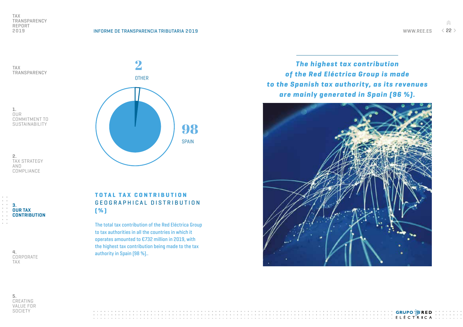TAX

WWW.REE.ES  $\langle$  22 >

 $\hat{m}$ 



OUR COMMITMENT TO **SUSTAINABILITY** 

TRANSPARENCY

2. TAX STRATEGY AND COMPLIANCE



4. CORPORATE TAX



TOTAL TAX CONTRIBUTION GEOGRAPHICAL DISTRIBUTION (%)

The total tax contribution of the Red Eléctrica Group to tax authorities in all the countries in which it operates amounted to €732 million in 2019, with the highest tax contribution being made to the tax authority in Spain (98 %)..

*The highest tax contribution of the Red Eléctrica Group is made to the Spanish tax authority, as its revenues are mainly generated in Spain (96 %).*



5. CREATING VALUE FOR **SOCIETY** 

**GRUPO 溶RED**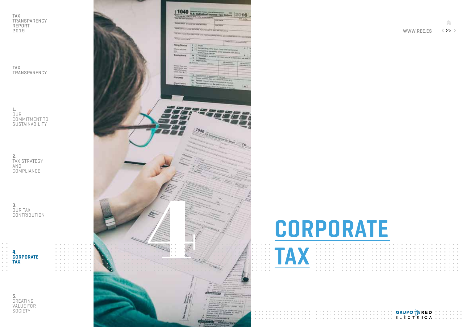TAX TRANSPARENCY

1. OUR COMMITMENT TO SUSTAINABILITY

2. TAX STRATEGY AND **COMPLIANCE** 

3. OUR TAX CONTRIBUTION

CORPORATE TAX

4.

5. CREATING VALUE FOR **SOCIETY** 



CORPORATE

Â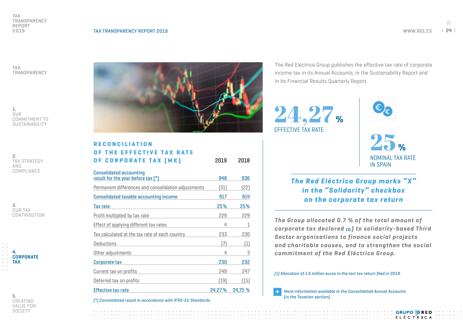TAX TRANSPARENCY

1. OUR COMMITMENT TO SUSTAINABILITY

2. TAX STRATEGY AND COMPLIANCE

3. OUR TAX CONTRIBUTION



5. CREATING VALUE FOR **SOCIETY** 



| RECONCILIATION                                      |      |      |
|-----------------------------------------------------|------|------|
| OF THE EFFECTIVE TAX RATE                           |      |      |
| <b>OF CORPORATE TAX [ME]</b>                        | 2019 | 2018 |
| <b>Consolidated accounting</b>                      |      |      |
| result for the year before $\text{tax }$ [*)        | 948  | 936  |
| Dormanont differences and consolidation adjustments | [21] | וכפז |

| Permanent differences and consolidation adjustments | [31]    | [22]    |
|-----------------------------------------------------|---------|---------|
| Consolidated taxable accounting income              | 917     | 914     |
| Tax rate                                            | 25%     | 25%     |
| Profit multiplied by tax rate                       | 229     | 229     |
| Effect of applying different tax rates              | 4       | 1       |
| Tax calculated at the tax rate of each country      | 233     | 230     |
| <b>Deductions</b>                                   | [7]     | $[1]$   |
| Other adjustments                                   | 4       | 3       |
| Corporate tax                                       | 230     | 232     |
| Current tax on profits                              | 249     | 247     |
| Deferred tax on profits                             | [19]    | $[15]$  |
| <b>Effective tax rate</b>                           | 24.27 % | 24,75 % |

*(\*) Consolidated result in accordance with IFRS-EU Standards.*

The Red Eléctrica Group publishes the effective tax rate of corporate income tax in its Annual Accounts, in the Sustainability Report and in its Financial Results Quarterly Report.

24,27 % EFFECTIVE TAX RATE



25 % NOMINAL TAX RATE IN SPAIN

> **GRUPO 溶RED ELÉCTRICA**

*The Red Eléctrica Group marks "X" in the "Solidarity" checkbox on the corporate tax return*

*The Group allocated 0.7 % of the total amount of corporate tax declared* (1) *) to solidarity-based Third Sector organisations to finance social projects and charitable causes, and to strengthen the social commitment of the Red Eléctrica Group.*

*(1) Allocation of 1.6 million euros in the last tax return filed in 2019.*

*[More information available in the Consolidated Annual Accounts](https://www.ree.es/sites/default/files/downloadable/CONSO_CCAA_Es.pdf#page=82)  (in the Taxation section). +*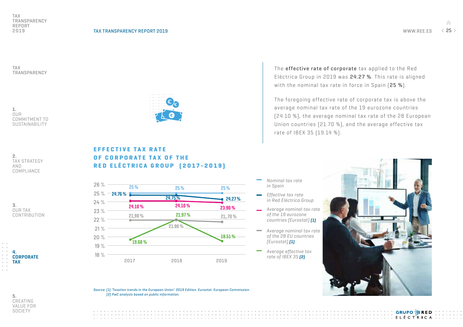EFFECTIVE TAX RATE

19.68 %

18 % 19 %  $20%$ 21 % 22 % 23 %

 $\frac{1}{\sqrt{2}}$ 

TAX TRANSPARENCY

1. OUR COMMITMENT TO SUSTAINABILITY

2. TAX STRATEGY AND COMPLIANCE

3. OUR TAX **CONTRIBUTION** 





The **effective rate of corporate** tax applied to the Red Eléctrica Group in 2019 was 24.27 %. This rate is aligned with the nominal tax rate in force in Spain [25 %].

The foregoing effective rate of corporate tax is above the average nominal tax rate of the 19 eurozone countries (24.10 %), the average nominal tax rate of the 28 European Union countries (21.70 %), and the average effective tax rate of IBEX 35 (19.14 %).

OF CORPORATE TAX OF THE RED ELÉCTRICA GROUP (2017-2019) 24 %  $25\,\%$   $-$  24.76 % 26 % 24.10 % 24.10 % 24.75 %  $25\%$  25 % 25 % 25 %  $24.27%$ 25 %

*Average nominal tax rate of the 19 eurozone countries (Eurostat) (1)*

*Nominal tax rate in Spain*

*Effective tax rate in Red Eléctrica Group*

- *Average nominal tax rate of the 28 EU countries (Eurostat) (1)*
- *Average effective tax rate of IBEX 35 (2)*



**GRUPO 溶RED ELÉCTRICA** 

*Source: (1) 'Taxation trends in the European Union'. 2019 Edition. Eurostat. European Commission. (2) PwC analysis based on public information.*

2017 2018 2019

21.90 %

21.97 %

 $21.90\%$  21.97% 21.70%

19.51 %

23.90 %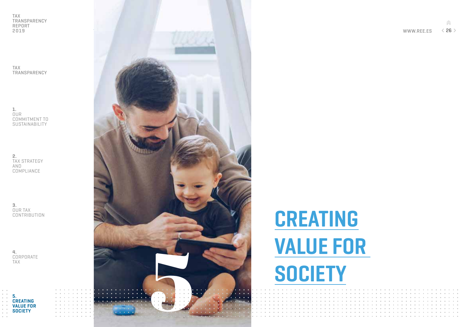TAX TRANSPARENCY

1. OUR COMMITMENT TO SUSTAINABILITY

2. TAX STRATEGY AND COMPLIANCE

3. OUR TAX **CONTRIBUTION** 

4. CORPORATE TAX





## CREATING VALUE FOR

Â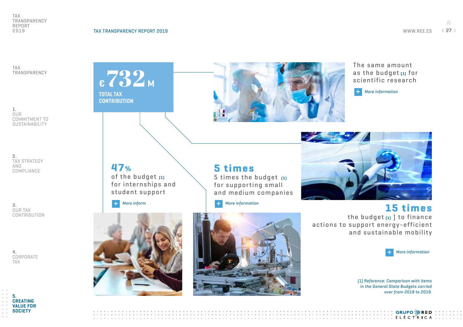$\hat{m}$ 

TAX TRANSPARENCY

1. OUR COMMITMENT TO **SUSTAINABILITY** 

2. TAX STRATEGY AND COMPLIANCE

3. OUR TAX **CONTRIBUTION** 

4. CORPORATE TAX



€ 732M TOTAL TAX **CONTRIBUTION** 

> **47%** of the budget (1) for internships and student support

*[+ More inform](https://www.sepg.pap.hacienda.gob.es/Presup/PGE2018Prorroga/MaestroDocumentos/PGE-ROM/doc/1/2/17/2/1/N_18P_E_R_31_118_1_1_1_1323M_2.PDF) [+ More information](https://www.sepg.pap.hacienda.gob.es/Presup/PGE2018Prorroga/MaestroDocumentos/PGE-ROM/doc/1/2/19/2/1/N_18P_E_R_31_120_1_1_1_1433M_3.PDF)*





5 times

5 times the budget (1) for supporting small

The same amount as the budget  $[1]$  for scientific research

*[+ More information](https://www.sepg.pap.hacienda.gob.es/Presup/PGE2018Prorroga/MaestroDocumentos/PGE-ROM/doc/1/2/27/2/1/N_18P_E_R_31_128_1_1_1_1463A_2.PDF)*



15 times the budget  $[1]$  to finance actions to support energy-efficient and sustainable mobility

IIIIIIIIIIIIIIIIIIIIIIIIELÉCTRICA I



**GRUPO 溶RED** 

*(1) Reference: Comparison with items in the General State Budgets carried over from 2018 to 2019.*